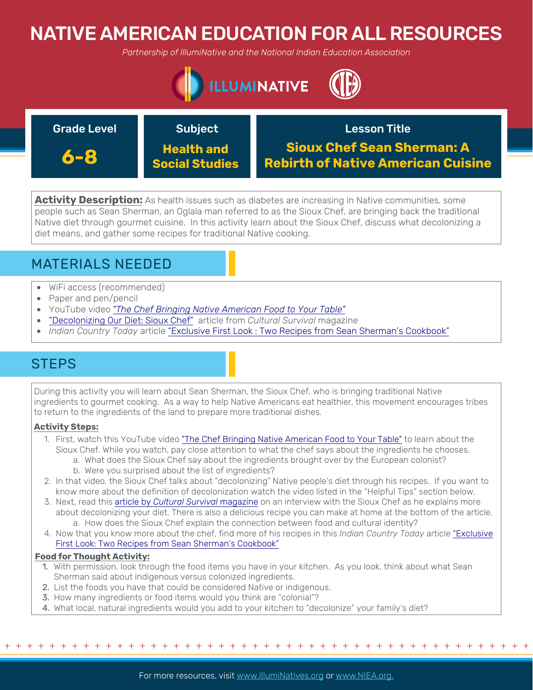# NATIVE AMERICAN EDUCATION FOR ALL RESOURCES

*Partnership of IllumiNative and the National Indian Education Association*



| <b>Grade Level</b> | <b>Subject</b>                      | <b>Lesson Title</b>                                                            |
|--------------------|-------------------------------------|--------------------------------------------------------------------------------|
| 6-8                | <b>Health and</b><br>Social Studies | <b>Sioux Chef Sean Sherman: A</b><br><b>Rebirth of Native American Cuisine</b> |

**Activity Description:** As health issues such as diabetes are increasing in Native communities, some people such as Sean Sherman, an Oglala man referred to as the Sioux Chef, are bringing back the traditional Native diet through gourmet cuisine. In this activity learn about the Sioux Chef, discuss what decolonizing a diet means, and gather some recipes for traditional Native cooking.

## MATERIALS NEEDED

- WiFi access (recommended)
- Paper and pen/pencil
- YouTube video *["The Chef Bringing Native American Food to Your Table"](https://www.youtube.com/watch?v=ocm6DRIF9oU)*
- ["Decolonizing Our Diet: Sioux Chef"](https://www.culturalsurvival.org/publications/cultural-survival-quarterly/decolonizing-our-diet-sioux-chef) article from *Cultural Survival* magazine
- *Indian Country Today* article "[Exclusive First Look : Two Recipes from Sean Sherman's Cookbook"](https://indiancountrytoday.com/archive/exclusive-first-look-two-recipes-from-sean-sherman-s-cookbook-0O-QQIepvEqer7fFsZHnJw)

## **STEPS**

During this activity you will learn about Sean Sherman, the Sioux Chef, who is bringing traditional Native ingredients to gourmet cooking. As a way to help Native Americans eat healthier, this movement encourages tribes to return to the ingredients of the land to prepare more traditional dishes.

### **Activity Steps:**

- 1. First, watch this YouTube video ["The Chef Bringing Native American Food to Your Table"](https://www.youtube.com/watch?v=ocm6DRIF9oU%20) to learn about the Sioux Chef. While you watch, pay close attention to what the chef says about the ingredients he chooses.
	- a. What does the Sioux Chef say about the ingredients brought over by the European colonist?
	- b. Were you surprised about the list of ingredients?
- 2. In that video, the Sioux Chef talks about "decolonizing" Native people's diet through his recipes. If you want to know more about the definition of decolonization watch the video listed in the "Helpful Tips" section below.
- 3. Next, read this article by *[Cultural Survival](https://www.culturalsurvival.org/publications/cultural-survival-quarterly/decolonizing-our-diet-sioux-chef)* magazine on an interview with the Sioux Chef as he explains more about decolonizing your diet. There is also a delicious recipe you can make at home at the bottom of the article. a. How does the Sioux Chef explain the connection between food and cultural identity?
- 4. [Now that you know more about the chef, find more of his recipes in this](https://indiancountrytoday.com/archive/exclusive-first-look-two-recipes-from-sean-sherman-s-cookbook-0O-QQIepvEqer7fFsZHnJw) *Indian Country Today* article "Exclusive First Look: Two Recipes from Sean Sherman's Cookbook"

### **Food for Thought Activity:**

- 1. With permission, look through the food items you have in your kitchen. As you look, think about what Sean Sherman said about indigenous versus colonized ingredients.
- 2. List the foods you have that could be considered Native or indigenous.
- 3. How many ingredients or food items would you think are "colonial"?
- 4. What local, natural ingredients would you add to your kitchen to "decolonize" your family's diet?

+ + + + + + + + + + + + + + + + + + + + + + + + + + + + + + + + + + + + + + + + + + + + + + + +